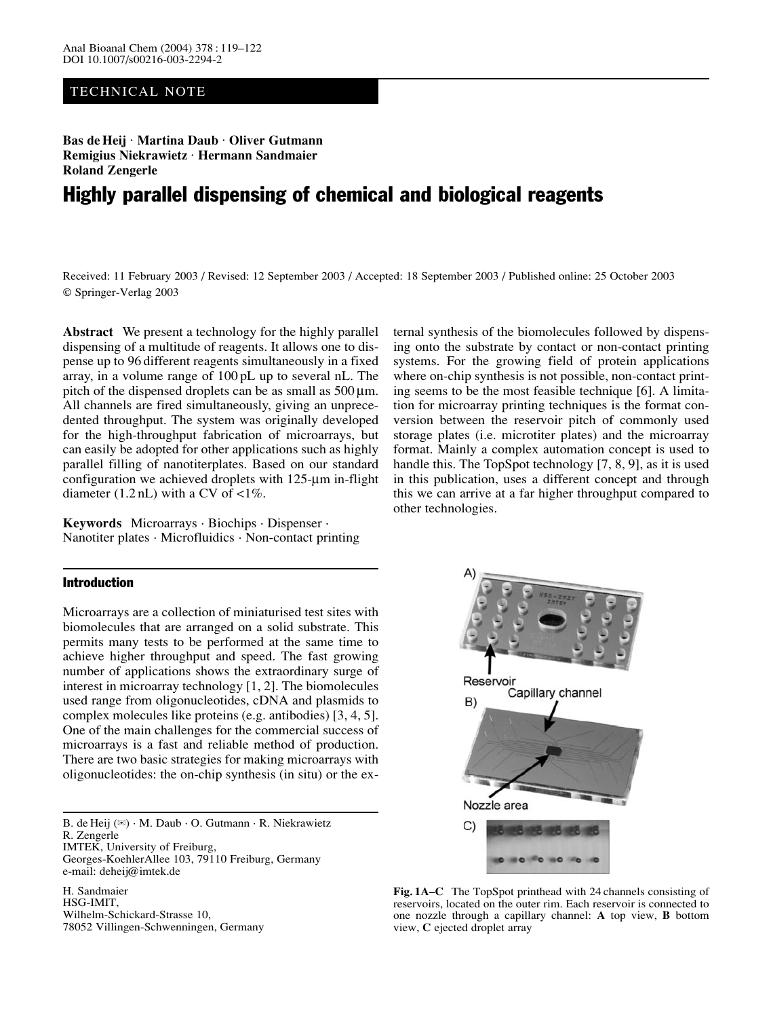# TECHNICAL NOTE

Bas de Heij · Martina Daub · Oliver Gutmann **Remigius Niekrawietz · Hermann Sandmaier · Roland Zengerle**

# Highly parallel dispensing of chemical and biological reagents

Received: 11 February 2003 / Revised: 12 September 2003 / Accepted: 18 September 2003 / Published online: 25 October 2003 © Springer-Verlag 2003

**Abstract** We present a technology for the highly parallel dispensing of a multitude of reagents. It allows one to dispense up to 96 different reagents simultaneously in a fixed array, in a volume range of 100 pL up to several nL. The pitch of the dispensed droplets can be as small as  $500 \,\mu m$ . All channels are fired simultaneously, giving an unprecedented throughput. The system was originally developed for the high-throughput fabrication of microarrays, but can easily be adopted for other applications such as highly parallel filling of nanotiterplates. Based on our standard configuration we achieved droplets with 125-µm in-flight diameter  $(1.2 \text{ nL})$  with a CV of  $\langle 1\% \rangle$ .

**Keywords** Microarrays · Biochips · Dispenser · Nanotiter plates · Microfluidics · Non-contact printing

## Introduction

Microarrays are a collection of miniaturised test sites with biomolecules that are arranged on a solid substrate. This permits many tests to be performed at the same time to achieve higher throughput and speed. The fast growing number of applications shows the extraordinary surge of interest in microarray technology [1, 2]. The biomolecules used range from oligonucleotides, cDNA and plasmids to complex molecules like proteins (e.g. antibodies) [3, 4, 5]. One of the main challenges for the commercial success of microarrays is a fast and reliable method of production. There are two basic strategies for making microarrays with oligonucleotides: the on-chip synthesis (in situ) or the ex-

B. de Heij  $(\mathbb{Z}) \cdot M$ . Daub  $\cdot$  O. Gutmann  $\cdot$  R. Niekrawietz R. Zengerle

IMTEK, University of Freiburg,

Georges-KoehlerAllee 103, 79110 Freiburg, Germany e-mail: deheij@imtek.de

H. Sandmaier HSG-IMIT, Wilhelm-Schickard-Strasse 10, 78052 Villingen-Schwenningen, Germany ternal synthesis of the biomolecules followed by dispensing onto the substrate by contact or non-contact printing systems. For the growing field of protein applications where on-chip synthesis is not possible, non-contact printing seems to be the most feasible technique [6]. A limitation for microarray printing techniques is the format conversion between the reservoir pitch of commonly used storage plates (i.e. microtiter plates) and the microarray format. Mainly a complex automation concept is used to handle this. The TopSpot technology [7, 8, 9], as it is used in this publication, uses a different concept and through this we can arrive at a far higher throughput compared to other technologies.



**Fig. 1A–C** The TopSpot printhead with 24 channels consisting of reservoirs, located on the outer rim. Each reservoir is connected to one nozzle through a capillary channel: **A** top view, **B** bottom view, **C** ejected droplet array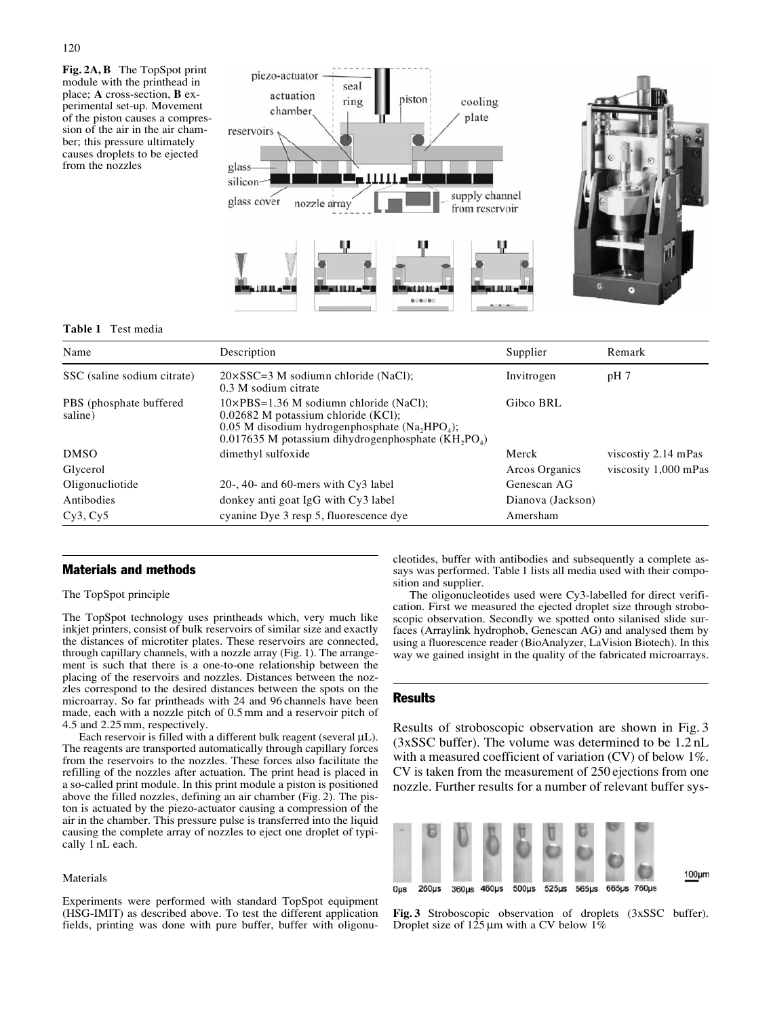**Fig. 2A, B** The TopSpot print module with the printhead in place; **A** cross-section, **B** experimental set-up. Movement of the piston causes a compression of the air in the air chamber; this pressure ultimately causes droplets to be ejected from the nozzles



#### **Table 1** Test media

| Name                               | Description                                                                                                                                                                                                                                          | Supplier          | Remark               |  |
|------------------------------------|------------------------------------------------------------------------------------------------------------------------------------------------------------------------------------------------------------------------------------------------------|-------------------|----------------------|--|
| SSC (saline sodium citrate)        | $20 \times SSC = 3$ M sodiumn chloride (NaCl);<br>0.3 M sodium citrate                                                                                                                                                                               | Invitrogen        | pH <sub>7</sub>      |  |
| PBS (phosphate buffered<br>saline) | $10\times$ PBS=1.36 M sodiumn chloride (NaCl);<br>$0.02682$ M potassium chloride (KCl);<br>$0.05$ M disodium hydrogenphosphate (Na <sub>2</sub> HPO <sub>4</sub> );<br>$0.017635$ M potassium dihydrogenphosphate (KH <sub>2</sub> PO <sub>4</sub> ) | Gibco BRL         |                      |  |
| <b>DMSO</b>                        | dimethyl sulfoxide                                                                                                                                                                                                                                   | Merck             | viscostiy 2.14 mPas  |  |
| Glycerol                           |                                                                                                                                                                                                                                                      | Arcos Organics    | viscosity 1,000 mPas |  |
| Oligonucliotide                    | 20-, 40- and 60-mers with $Cy3$ label                                                                                                                                                                                                                | Genescan AG       |                      |  |
| Antibodies                         | donkey anti goat IgG with Cy3 label                                                                                                                                                                                                                  | Dianova (Jackson) |                      |  |
| Cy3, Cy5                           | cyanine Dye 3 resp 5, fluorescence dye                                                                                                                                                                                                               | Amersham          |                      |  |

### Materials and methods

#### The TopSpot principle

The TopSpot technology uses printheads which, very much like inkjet printers, consist of bulk reservoirs of similar size and exactly the distances of microtiter plates. These reservoirs are connected, through capillary channels, with a nozzle array (Fig. 1). The arrangement is such that there is a one-to-one relationship between the placing of the reservoirs and nozzles. Distances between the nozzles correspond to the desired distances between the spots on the microarray. So far printheads with 24 and 96 channels have been made, each with a nozzle pitch of 0.5 mm and a reservoir pitch of 4.5 and 2.25 mm, respectively.

Each reservoir is filled with a different bulk reagent (several  $\mu$ L). The reagents are transported automatically through capillary forces from the reservoirs to the nozzles. These forces also facilitate the refilling of the nozzles after actuation. The print head is placed in a so-called print module. In this print module a piston is positioned above the filled nozzles, defining an air chamber (Fig. 2). The piston is actuated by the piezo-actuator causing a compression of the air in the chamber. This pressure pulse is transferred into the liquid causing the complete array of nozzles to eject one droplet of typically 1 nL each.

## Materials

Experiments were performed with standard TopSpot equipment (HSG-IMIT) as described above. To test the different application fields, printing was done with pure buffer, buffer with oligonucleotides, buffer with antibodies and subsequently a complete assays was performed. Table 1 lists all media used with their composition and supplier.

The oligonucleotides used were Cy3-labelled for direct verification. First we measured the ejected droplet size through stroboscopic observation. Secondly we spotted onto silanised slide surfaces (Arraylink hydrophob, Genescan AG) and analysed them by using a fluorescence reader (BioAnalyzer, LaVision Biotech). In this way we gained insight in the quality of the fabricated microarrays.

#### **Results**

Results of stroboscopic observation are shown in Fig. 3 (3xSSC buffer). The volume was determined to be 1.2 nL with a measured coefficient of variation (CV) of below 1%. CV is taken from the measurement of 250 ejections from one nozzle. Further results for a number of relevant buffer sys-

| $0\mu s$ | $260\mu s$ | 360µs 460µs | 500us 525us 565us 665us 760us |  | $100 \mu m$ |
|----------|------------|-------------|-------------------------------|--|-------------|

**Fig. 3** Stroboscopic observation of droplets (3xSSC buffer). Droplet size of 125 µm with a CV below 1%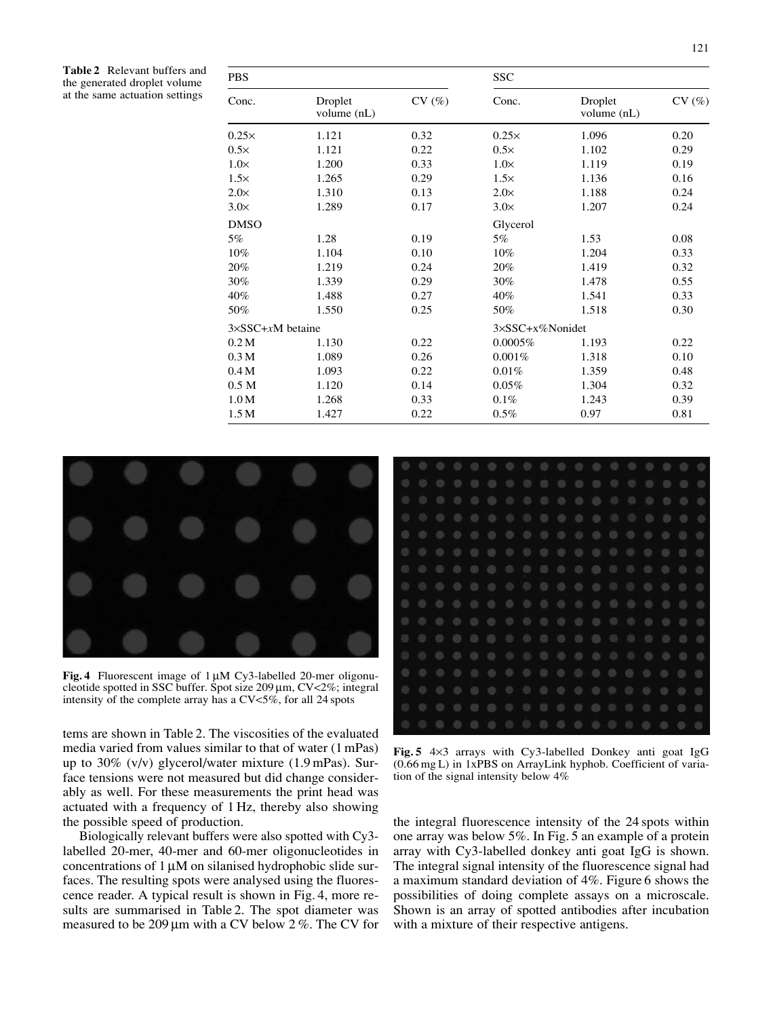**Table 2** Relevant buffers and the generated droplet volume at the same actuation settings

| <b>PBS</b>                    |                        |       | SSC             |                        |       |  |  |
|-------------------------------|------------------------|-------|-----------------|------------------------|-------|--|--|
| Conc.                         | Droplet<br>volume (nL) | CV(%) | Conc.           | Droplet<br>volume (nL) | CV(%) |  |  |
| $0.25\times$                  | 1.121                  | 0.32  | $0.25\times$    | 1.096                  | 0.20  |  |  |
| $0.5\times$                   | 1.121                  | 0.22  | $0.5\times$     | 1.102                  | 0.29  |  |  |
| $1.0\times$                   | 1.200                  | 0.33  | $1.0\times$     | 1.119                  | 0.19  |  |  |
| $1.5\times$                   | 1.265                  | 0.29  | $1.5\times$     | 1.136                  | 0.16  |  |  |
| $2.0\times$                   | 1.310                  | 0.13  | $2.0\times$     | 1.188                  | 0.24  |  |  |
| $3.0\times$                   | 1.289                  | 0.17  | $3.0\times$     | 1.207                  | 0.24  |  |  |
| <b>DMSO</b>                   |                        |       | Glycerol        |                        |       |  |  |
| 5%                            | 1.28                   | 0.19  | 5%              | 1.53                   | 0.08  |  |  |
| 10%                           | 1.104                  | 0.10  | 10%             | 1.204                  | 0.33  |  |  |
| 20%                           | 1.219                  | 0.24  | 20%             | 1.419                  | 0.32  |  |  |
| 30%                           | 1.339                  | 0.29  | 30%             | 1.478                  | 0.55  |  |  |
| 40%                           | 1.488                  | 0.27  | 40%             | 1.541                  | 0.33  |  |  |
| 50%                           | 1.550                  | 0.25  | 50%             | 1.518                  | 0.30  |  |  |
| $3 \times$ SSC+ $x$ M betaine |                        |       | 3×SSC+x%Nonidet |                        |       |  |  |
| 0.2 M                         | 1.130                  | 0.22  | $0.0005\%$      | 1.193                  | 0.22  |  |  |
| 0.3 <sub>M</sub>              | 1.089                  | 0.26  | 0.001%          | 1.318                  | 0.10  |  |  |
| 0.4M                          | 1.093                  | 0.22  | 0.01%           | 1.359                  | 0.48  |  |  |
| 0.5 <sub>M</sub>              | 1.120                  | 0.14  | 0.05%           | 1.304                  | 0.32  |  |  |
| 1.0 M                         | 1.268                  | 0.33  | 0.1%            | 1.243                  | 0.39  |  |  |
| 1.5 <sub>M</sub>              | 1.427                  | 0.22  | 0.5%            | 0.97                   | 0.81  |  |  |



**Fig. 4** Fluorescent image of 1 µM Cy3-labelled 20-mer oligonucleotide spotted in SSC buffer. Spot size  $209 \mu m$ , CV<2%; integral intensity of the complete array has a CV<5%, for all 24 spots

tems are shown in Table 2. The viscosities of the evaluated media varied from values similar to that of water (1 mPas) up to 30% (v/v) glycerol/water mixture (1.9 mPas). Surface tensions were not measured but did change considerably as well. For these measurements the print head was actuated with a frequency of 1 Hz, thereby also showing the possible speed of production.

Biologically relevant buffers were also spotted with Cy3 labelled 20-mer, 40-mer and 60-mer oligonucleotides in concentrations of 1 µM on silanised hydrophobic slide surfaces. The resulting spots were analysed using the fluorescence reader. A typical result is shown in Fig. 4, more results are summarised in Table 2. The spot diameter was measured to be 209  $\mu$ m with a CV below 2 %. The CV for



**Fig. 5** 4×3 arrays with Cy3-labelled Donkey anti goat IgG (0.66 mg L) in 1xPBS on ArrayLink hyphob. Coefficient of variation of the signal intensity below 4%

the integral fluorescence intensity of the 24 spots within one array was below 5%. In Fig. 5 an example of a protein array with Cy3-labelled donkey anti goat IgG is shown. The integral signal intensity of the fluorescence signal had a maximum standard deviation of 4%. Figure 6 shows the possibilities of doing complete assays on a microscale. Shown is an array of spotted antibodies after incubation with a mixture of their respective antigens.